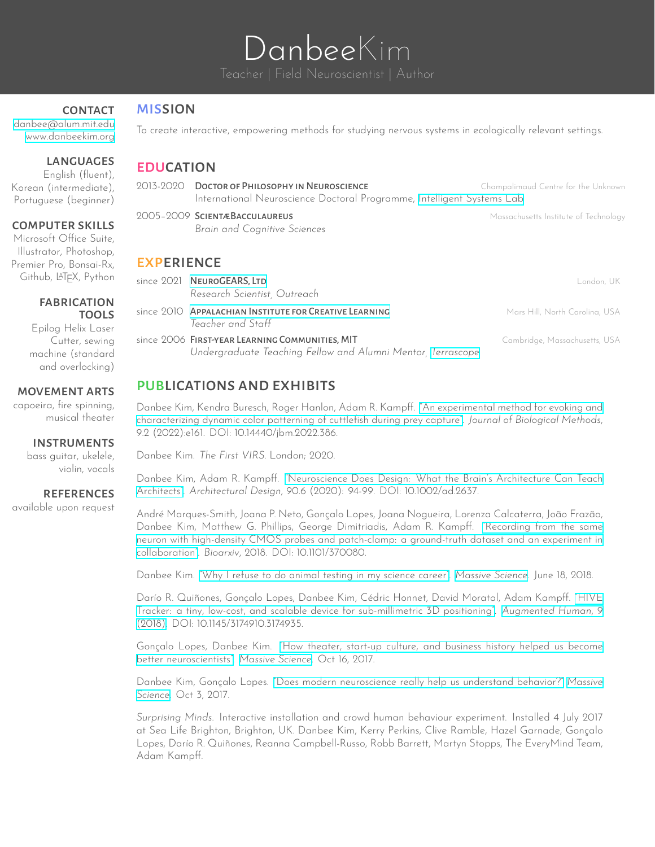# DanbeeKim

*Brain and Cognitive Sciences*

# **CONTACT**

[danbee@alum.mit.edu](mailto:danbee@alum.mit.edu) <www.danbeekim.org>

# **LANGUAGES**

English (fluent), Korean (intermediate), Portuguese (beginner)

# computer skills

Microsoft Office Suite, Illustrator, Photoshop, Premier Pro, Bonsai-Rx, Github, LATEX, Python

#### fabrication **TOOLS**

Epilog Helix Laser Cutter, sewing machine (standard and overlocking)

# movement arts

capoeira, fire spinning, musical theater

# **INSTRUMENTS**

bass guitar, ukelele, violin, vocals

# **REFERENCES**

available upon request

# **MISSION**

To create interactive, empowering methods for studying nervous systems in ecologically relevant settings.

# **EDUCATION**

2013-2020 DOCTOR OF PHILOSOPHY IN NEUROSCIENCE Champalimaud Centre for the Unknown International Neuroscience Doctoral Programme, [Intelligent](http://neuro.fchampalimaud.org/en/research/investigators/research-groups/group/Kampff/) Systems Lab 2005–2009 SCIENTÆBACCULAUREUS Massachusetts Institute of Technology

# **EXPERIENCE**

| since 2021 NEUROGEARS, LTD<br>Research Scientist, Outreach                                                     | London, UK                     |
|----------------------------------------------------------------------------------------------------------------|--------------------------------|
| since 2010 APPALACHIAN INSTITUTE FOR CREATIVE LEARNING<br>Teacher and Staff                                    | Mars Hill, North Carolina, USA |
| since 2006 FIRST-YEAR LEARNING COMMUNITIES, MIT<br>Undergraduate Teaching Fellow and Alumni Mentor, Terrascope | Cambridge, Massachusetts, USA  |

# publications and exhibits

Danbee Kim, Kendra Buresch, Roger Hanlon, Adam R. Kampff. "An [experimental](http://jbmethods.org/jbm/article/view/386) method for evoking and [characterizing](http://jbmethods.org/jbm/article/view/386) dynamic color patterning of cuttlefish during prey capture". *Journal of Biological Methods*, 9.2 (2022):e161. DOI: 10.14440/jbm.2022.386.

Danbee Kim. *The First VIRS*. London; 2020.

Danbee Kim, Adam R. Kampff. ["Neuroscience](https://sci-hub.do/https://onlinelibrary.wiley.com/doi/abs/10.1002/ad.2637) Does Design: What the Brain's Architecture Can Teach [Architects"](https://sci-hub.do/https://onlinelibrary.wiley.com/doi/abs/10.1002/ad.2637). *Architectural Design*, 90.6 (2020): 94-99. DOI: 10.1002/ad.2637.

André Marques-Smith, Joana P. Neto, Gonçalo Lopes, Joana Nogueira, Lorenza Calcaterra, João Frazão, Danbee Kim, Matthew G. Phillips, George Dimitriadis, Adam R. Kampff. ["Recording](https://www.biorxiv.org/content/10.1101/370080v1) from the same neuron with high-density CMOS probes and [patch-clamp:](https://www.biorxiv.org/content/10.1101/370080v1) a ground-truth dataset and an experiment in [collaboration"](https://www.biorxiv.org/content/10.1101/370080v1). *Bioarxiv*, 2018. DOI: 10.1101/370080.

Danbee Kim. "Why I refuse to do animal testing in my [science](https://massivesci.com/articles/frankenstein-kim-animal-testing/) career". *[Massive](https://massivesci.com) Science*. June 18, 2018.

Darío R. Quiñones, Gonçalo Lopes, Danbee Kim, Cédric Honnet, David Moratal, Adam Kampff. ["HIVE](https://www.researchgate.net/publication/322842913_HIVE_Tracker_a_tiny_low-cost_and_scalable_device_for_sub-millimetric_3D_positioning) Tracker: a tiny, low-cost, and scalable device for [sub-millimetric](https://www.researchgate.net/publication/322842913_HIVE_Tracker_a_tiny_low-cost_and_scalable_device_for_sub-millimetric_3D_positioning) 3D positioning". *[Augmented](http://www.sigah.org/AH2018/) Human*, 9 [\(2018\)](http://www.sigah.org/AH2018/). DOI: 10.1145/3174910.3174935.

Gonçalo Lopes, Danbee Kim. "How theater, start-up culture, and [business](https://massivesci.com/articles/neuroscience-can-learn-from-theater/) history helped us become better [neuroscientists".](https://massivesci.com/articles/neuroscience-can-learn-from-theater/) *[Massive](https://massivesci.com) Science*. Oct 16, 2017.

Danbee Kim, Gonçalo Lopes. "Does modern [neuroscience](https://massivesci.com/articles/neuroscience-behavior-vs-technology/) really help us understand behavior?" *[Massive](https://massivesci.com) [Science](https://massivesci.com)*. Oct 3, 2017.

*Surprising Minds*. Interactive installation and crowd human behaviour experiment. Installed 4 July 2017 at Sea Life Brighton, Brighton, UK. Danbee Kim, Kerry Perkins, Clive Ramble, Hazel Garnade, Gonçalo Lopes, Darío R. Quiñones, Reanna Campbell-Russo, Robb Barrett, Martyn Stopps, The EveryMind Team, Adam Kampff.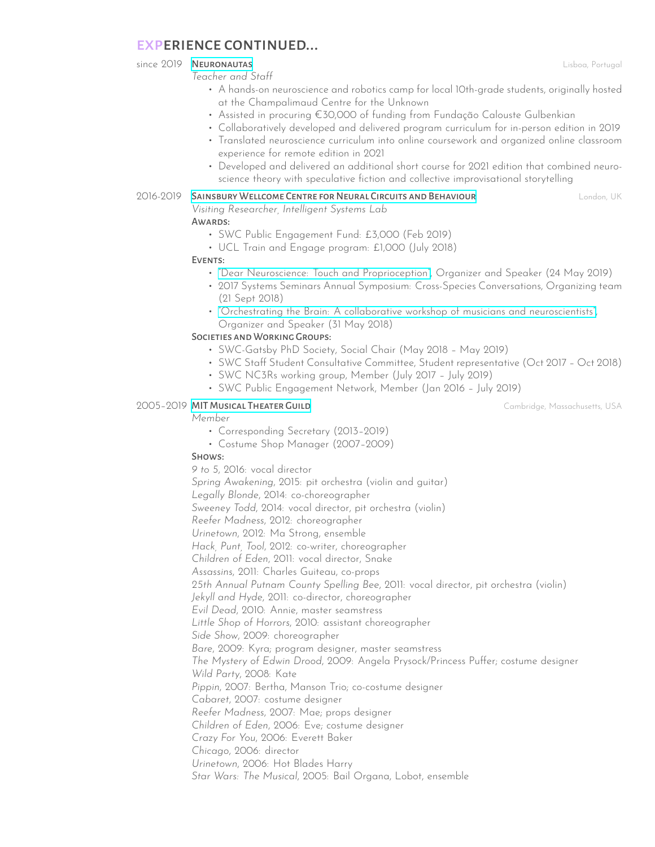# experience continued...

since 2019 **NEURONAUTAS Lisboa, Portugal** 

*Teacher and Staff*

- A hands-on neuroscience and robotics camp for local 10th-grade students, originally hosted at the Champalimaud Centre for the Unknown
- Assisted in procuring €30,000 of funding from Fundação Calouste Gulbenkian
- Collaboratively developed and delivered program curriculum for in-person edition in 2019
- Translated neuroscience curriculum into online coursework and organized online classroom experience for remote edition in 2021
- Developed and delivered an additional short course for 2021 edition that combined neuroscience theory with speculative fiction and collective improvisational storytelling

# 2016-2019 SAINSBURY WELLCOME CENTRE FOR NEURAL CIRCUITS AND BEHAVIOUR **London, UK** London, UK

*Visiting Researcher, Intelligent Systems Lab*

# AWARDS:

- SWC Public Engagement Fund: £3,000 (Feb 2019)
- UCL Train and Engage program: £1,000 (July 2018)

# EVENTS:

- "Dear Neuroscience: Touch and [Proprioception"](http://www.everymind.online/DearNeuroscience/TouchProprioception/), Organizer and Speaker (24 May 2019)
- 2017 Systems Seminars Annual Symposium: Cross-Species Conversations, Organizing team (21 Sept 2018)
- "Orchestrating the Brain: A collaborative workshop of musicians and [neuroscientists"](https://www.sainsburywellcome.org/web/public-engagement/orchestrating-brain), Organizer and Speaker (31 May 2018)

# SOCIETIES AND WORKING GROUPS:

- SWC-Gatsby PhD Society, Social Chair (May 2018 May 2019)
- SWC Staff Student Consultative Committee, Student representative (Oct 2017 Oct 2018)
- SWC NC3Rs working group, Member (July 2017 July 2019)
- SWC Public Engagement Network, Member (Jan 2016 July 2019)

# 2005–2019 MIT MUSICAL THEATER GUILD **Cambridge**, Massachusetts, USA

#### *Member*

- Corresponding Secretary (2013–2019)
- Costume Shop Manager (2007–2009)

# Shows:

*9 to 5*, 2016: vocal director *Spring Awakening*, 2015: pit orchestra (violin and guitar) *Legally Blonde*, 2014: co-choreographer *Sweeney Todd*, 2014: vocal director, pit orchestra (violin) *Reefer Madness*, 2012: choreographer *Urinetown*, 2012: Ma Strong, ensemble *Hack, Punt, Tool*, 2012: co-writer, choreographer *Children of Eden*, 2011: vocal director, Snake *Assassins*, 2011: Charles Guiteau, co-props *25th Annual Putnam County Spelling Bee*, 2011: vocal director, pit orchestra (violin) *Jekyll and Hyde*, 2011: co-director, choreographer *Evil Dead*, 2010: Annie, master seamstress *Little Shop of Horrors*, 2010: assistant choreographer *Side Show*, 2009: choreographer *Bare*, 2009: Kyra; program designer, master seamstress *The Mystery of Edwin Drood*, 2009: Angela Prysock/Princess Puffer; costume designer *Wild Party*, 2008: Kate *Pippin*, 2007: Bertha, Manson Trio; co-costume designer *Cabaret*, 2007: costume designer *Reefer Madness*, 2007: Mae; props designer *Children of Eden*, 2006: Eve; costume designer *Crazy For You*, 2006: Everett Baker *Chicago*, 2006: director *Urinetown*, 2006: Hot Blades Harry *Star Wars: The Musical*, 2005: Bail Organa, Lobot, ensemble